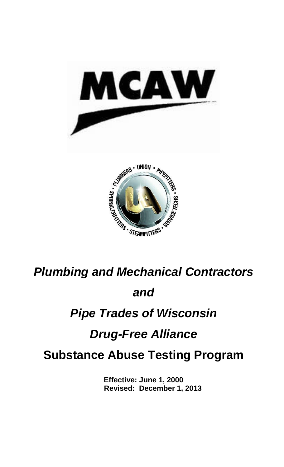



*Plumbing and Mechanical Contractors*

# *and*

## *Pipe Trades of Wisconsin*

# *Drug-Free Alliance*

## **Substance Abuse Testing Program**

**Effective: June 1, 2000 Revised: December 1, 2013**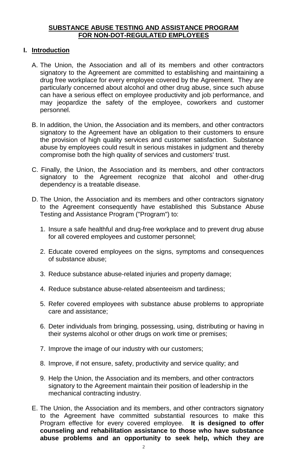#### **SUBSTANCE ABUSE TESTING AND ASSISTANCE PROGRAM FOR NON-DOT-REGULATED EMPLOYEES**

#### **I. Introduction**

- A. The Union, the Association and all of its members and other contractors signatory to the Agreement are committed to establishing and maintaining a drug free workplace for every employee covered by the Agreement. They are particularly concerned about alcohol and other drug abuse, since such abuse can have a serious effect on employee productivity and job performance, and may jeopardize the safety of the employee, coworkers and customer personnel.
- B. In addition, the Union, the Association and its members, and other contractors signatory to the Agreement have an obligation to their customers to ensure the provision of high quality services and customer satisfaction. Substance abuse by employees could result in serious mistakes in judgment and thereby compromise both the high quality of services and customers' trust.
- C. Finally, the Union, the Association and its members, and other contractors signatory to the Agreement recognize that alcohol and other-drug dependency is a treatable disease.
- D. The Union, the Association and its members and other contractors signatory to the Agreement consequently have established this Substance Abuse Testing and Assistance Program ("Program") to:
	- 1. Insure a safe healthful and drug-free workplace and to prevent drug abuse for all covered employees and customer personnel;
	- 2. Educate covered employees on the signs, symptoms and consequences of substance abuse;
	- 3. Reduce substance abuse-related injuries and property damage;
	- 4. Reduce substance abuse-related absenteeism and tardiness;
	- 5. Refer covered employees with substance abuse problems to appropriate care and assistance;
	- 6. Deter individuals from bringing, possessing, using, distributing or having in their systems alcohol or other drugs on work time or premises;
	- 7. Improve the image of our industry with our customers;
	- 8. Improve, if not ensure, safety, productivity and service quality; and
	- 9. Help the Union, the Association and its members, and other contractors signatory to the Agreement maintain their position of leadership in the mechanical contracting industry.
- E. The Union, the Association and its members, and other contractors signatory to the Agreement have committed substantial resources to make this Program effective for every covered employee. **It is designed to offer counseling and rehabilitation assistance to those who have substance abuse problems and an opportunity to seek help, which they are**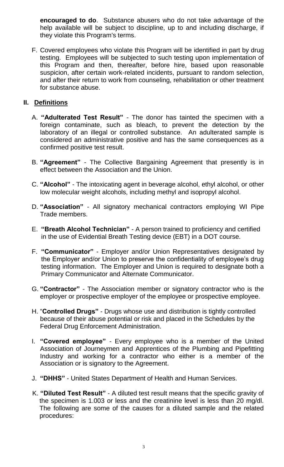**encouraged to do**. Substance abusers who do not take advantage of the help available will be subject to discipline, up to and including discharge, if they violate this Program's terms.

F. Covered employees who violate this Program will be identified in part by drug testing. Employees will be subjected to such testing upon implementation of this Program and then, thereafter, before hire, based upon reasonable suspicion, after certain work-related incidents, pursuant to random selection, and after their return to work from counseling, rehabilitation or other treatment for substance abuse.

## **II. Definitions**

- A. **"Adulterated Test Result"**  The donor has tainted the specimen with a foreign contaminate, such as bleach, to prevent the detection by the laboratory of an illegal or controlled substance. An adulterated sample is considered an administrative positive and has the same consequences as a confirmed positive test result.
- B. **"Agreement"** The Collective Bargaining Agreement that presently is in effect between the Association and the Union.
- C. **"Alcohol"**  The intoxicating agent in beverage alcohol, ethyl alcohol, or other low molecular weight alcohols, including methyl and isopropyl alcohol.
- D. **"Association"** All signatory mechanical contractors employing WI Pipe Trade members.
- E. **"Breath Alcohol Technician"** A person trained to proficiency and certified in the use of Evidential Breath Testing device (EBT) in a DOT course.
- F. **"Communicator"** Employer and/or Union Representatives designated by the Employer and/or Union to preserve the confidentiality of employee's drug testing information. The Employer and Union is required to designate both a Primary Communicator and Alternate Communicator.
- G. **"Contractor"**  The Association member or signatory contractor who is the employer or prospective employer of the employee or prospective employee.
- H. "**Controlled Drugs"**  Drugs whose use and distribution is tightly controlled because of their abuse potential or risk and placed in the Schedules by the Federal Drug Enforcement Administration.
- I. **"Covered employee"** Every employee who is a member of the United Association of Journeymen and Apprentices of the Plumbing and Pipefitting Industry and working for a contractor who either is a member of the Association or is signatory to the Agreement.
- J. **"DHHS"** United States Department of Health and Human Services.
- K. **"Diluted Test Result"** A diluted test result means that the specific gravity of the specimen is 1.003 or less and the creatinine level is less than 20 mg/dl. The following are some of the causes for a diluted sample and the related procedures: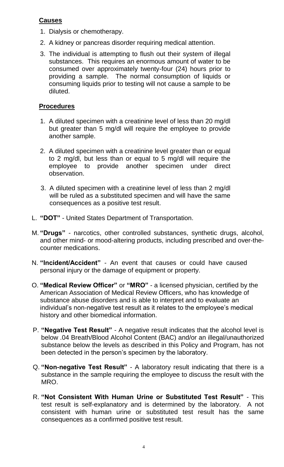### **Causes**

- 1. Dialysis or chemotherapy.
- 2. A kidney or pancreas disorder requiring medical attention.
- 3. The individual is attempting to flush out their system of illegal substances. This requires an enormous amount of water to be consumed over approximately twenty-four (24) hours prior to providing a sample. The normal consumption of liquids or consuming liquids prior to testing will not cause a sample to be diluted.

#### **Procedures**

- 1. A diluted specimen with a creatinine level of less than 20 mg/dl but greater than 5 mg/dl will require the employee to provide another sample.
- 2. A diluted specimen with a creatinine level greater than or equal to 2 mg/dl, but less than or equal to 5 mg/dl will require the employee to provide another specimen under direct observation.
- 3. A diluted specimen with a creatinine level of less than 2 mg/dl will be ruled as a substituted specimen and will have the same consequences as a positive test result.
- L. **"DOT"**  United States Department of Transportation.
- M. **"Drugs"** narcotics, other controlled substances, synthetic drugs, alcohol, and other mind- or mood-altering products, including prescribed and over-thecounter medications.
- N. **"Incident/Accident"** An event that causes or could have caused personal injury or the damage of equipment or property.
- O. **"Medical Review Officer"** or **"MRO"** a licensed physician, certified by the American Association of Medical Review Officers, who has knowledge of substance abuse disorders and is able to interpret and to evaluate an individual's non-negative test result as it relates to the employee's medical history and other biomedical information.
- P. **"Negative Test Result"**  A negative result indicates that the alcohol level is below .04 Breath/Blood Alcohol Content (BAC) and/or an illegal/unauthorized substance below the levels as described in this Policy and Program, has not been detected in the person's specimen by the laboratory.
- Q. **"Non-negative Test Result"** A laboratory result indicating that there is a substance in the sample requiring the employee to discuss the result with the MRO.
- R. **"Not Consistent With Human Urine or Substituted Test Result"**  This test result is self-explanatory and is determined by the laboratory. A not consistent with human urine or substituted test result has the same consequences as a confirmed positive test result.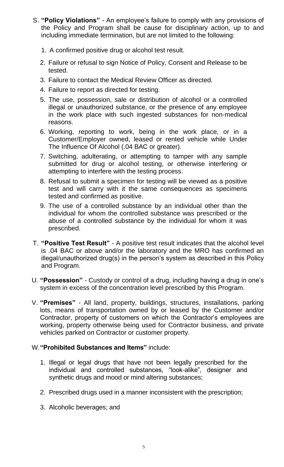- S. **"Policy Violations"**  An employee's failure to comply with any provisions of the Policy and Program shall be cause for disciplinary action, up to and including immediate termination, but are not limited to the following:
	- 1. A confirmed positive drug or alcohol test result.
	- 2. Failure or refusal to sign Notice of Policy, Consent and Release to be tested.
	- 3. Failure to contact the Medical Review Officer as directed.
	- 4. Failure to report as directed for testing.
	- 5. The use, possession, sale or distribution of alcohol or a controlled illegal or unauthorized substance, or the presence of any employee in the work place with such ingested substances for non-medical reasons.
	- 6. Working, reporting to work, being in the work place, or in a Customer/Employer owned, leased or rented vehicle while Under The Influence Of Alcohol (.04 BAC or greater).
	- 7. Switching, adulterating, or attempting to tamper with any sample submitted for drug or alcohol testing, or otherwise interfering or attempting to interfere with the testing process.
	- 8. Refusal to submit a specimen for testing will be viewed as a positive test and will carry with it the same consequences as specimens tested and confirmed as positive.
	- 9. The use of a controlled substance by an individual other than the individual for whom the controlled substance was prescribed or the abuse of a controlled substance by the individual for whom it was prescribed.
- T. **"Positive Test Result"** A positive test result indicates that the alcohol level is .04 BAC or above and/or the laboratory and the MRO has confirmed an illegal/unauthorized drug(s) in the person's system as described in this Policy and Program.
- U. **"Possession"**  Custody or control of a drug, including having a drug in one's system in excess of the concentration level prescribed by this Program.
- V. **"Premises"**  All land, property, buildings, structures, installations, parking lots, means of transportation owned by or leased by the Customer and/or Contractor, property of customers on which the Contractor's employees are working, property otherwise being used for Contractor business, and private vehicles parked on Contractor or customer property.

#### W.**"Prohibited Substances and Items"** include:

- 1. Illegal or legal drugs that have not been legally prescribed for the individual and controlled substances, "look-alike", designer and synthetic drugs and mood or mind altering substances;
- 2. Prescribed drugs used in a manner inconsistent with the prescription;
- 3. Alcoholic beverages; and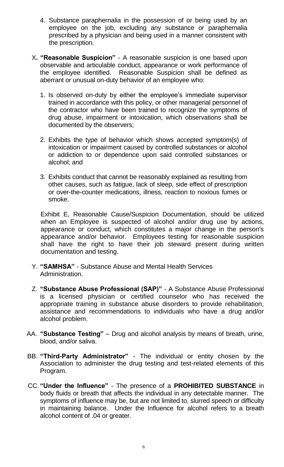- 4. Substance paraphernalia in the possession of or being used by an employee on the job, excluding any substance or paraphernalia prescribed by a physician and being used in a manner consistent with the prescription.
- X**. "Reasonable Suspicion"**  A reasonable suspicion is one based upon observable and articulable conduct, appearance or work performance of the employee identified. Reasonable Suspicion shall be defined as aberrant or unusual on-duty behavior of an employee who:
	- 1. Is observed on-duty by either the employee's immediate supervisor trained in accordance with this policy, or other managerial personnel of the contractor who have been trained to recognize the symptoms of drug abuse, impairment or intoxication, which observations shall be documented by the observers;
	- 2. Exhibits the type of behavior which shows accepted symptom(s) of intoxication or impairment caused by controlled substances or alcohol or addiction to or dependence upon said controlled substances or alcohol; and
	- 3. Exhibits conduct that cannot be reasonably explained as resulting from other causes, such as fatigue, lack of sleep, side effect of prescription or over-the-counter medications, illness, reaction to noxious fumes or smoke.

Exhibit E, Reasonable Cause/Suspicion Documentation, should be utilized when an Employee is suspected of alcohol and/or drug use by actions, appearance or conduct, which constitutes a major change in the person's appearance and/or behavior. Employees testing for reasonable suspicion shall have the right to have their job steward present during written documentation and testing.

- Y. **"SAMHSA"**  Substance Abuse and Mental Health Services Administration.
- Z. **"Substance Abuse Professional (SAP)"**  A Substance Abuse Professional is a licensed physician or certified counselor who has received the appropriate training in substance abuse disorders to provide rehabilitation, assistance and recommendations to individuals who have a drug and/or alcohol problem.
- AA. **"Substance Testing"**  Drug and alcohol analysis by means of breath, urine, blood, and/or saliva.
- BB. **"Third-Party Administrator"** The individual or entity chosen by the Association to administer the drug testing and test-related elements of this Program.
- CC. **"Under the Influence"** The presence of a **PROHIBITED SUBSTANCE** in body fluids or breath that affects the individual in any detectable manner. The symptoms of influence may be, but are not limited to, slurred speech or difficulty in maintaining balance. Under the Influence for alcohol refers to a breath alcohol content of .04 or greater.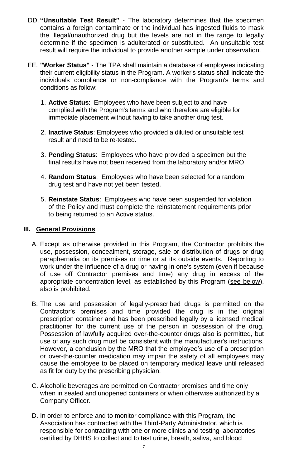- DD. **"Unsuitable Test Result"**  The laboratory determines that the specimen contains a foreign contaminate or the individual has ingested fluids to mask the illegal/unauthorized drug but the levels are not in the range to legally determine if the specimen is adulterated or substituted. An unsuitable test result will require the individual to provide another sample under observation.
- EE. **"Worker Status"** The TPA shall maintain a database of employees indicating their current eligibility status in the Program. A worker's status shall indicate the individuals compliance or non-compliance with the Program's terms and conditions as follow:
	- 1. **Active Status**: Employees who have been subject to and have complied with the Program's terms and who therefore are eligible for immediate placement without having to take another drug test.
	- 2. **Inactive Status**: Employees who provided a diluted or unsuitable test result and need to be re-tested.
	- 3. **Pending Status**: Employees who have provided a specimen but the final results have not been received from the laboratory and/or MRO.
	- 4. **Random Status**: Employees who have been selected for a random drug test and have not yet been tested.
	- 5. **Reinstate Status**: Employees who have been suspended for violation of the Policy and must complete the reinstatement requirements prior to being returned to an Active status.

#### **III. General Provisions**

- A. Except as otherwise provided in this Program, the Contractor prohibits the use, possession, concealment, storage, sale or distribution of drugs or drug paraphernalia on its premises or time or at its outside events. Reporting to work under the influence of a drug or having in one's system (even if because of use off Contractor premises and time) any drug in excess of the appropriate concentration level, as established by this Program (see below), also is prohibited.
- B. The use and possession of legally-prescribed drugs is permitted on the Contractor's premises and time provided the drug is in the original prescription container and has been prescribed legally by a licensed medical practitioner for the current use of the person in possession of the drug. Possession of lawfully acquired over-the-counter drugs also is permitted, but use of any such drug must be consistent with the manufacturer's instructions. However, a conclusion by the MRO that the employee's use of a prescription or over-the-counter medication may impair the safety of all employees may cause the employee to be placed on temporary medical leave until released as fit for duty by the prescribing physician.
- C. Alcoholic beverages are permitted on Contractor premises and time only when in sealed and unopened containers or when otherwise authorized by a Company Officer.
- D. In order to enforce and to monitor compliance with this Program, the Association has contracted with the Third-Party Administrator, which is responsible for contracting with one or more clinics and testing laboratories certified by DHHS to collect and to test urine, breath, saliva, and blood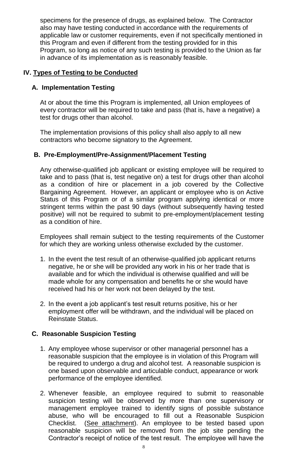specimens for the presence of drugs, as explained below. The Contractor also may have testing conducted in accordance with the requirements of applicable law or customer requirements, even if not specifically mentioned in this Program and even if different from the testing provided for in this Program, so long as notice of any such testing is provided to the Union as far in advance of its implementation as is reasonably feasible.

#### **IV. Types of Testing to be Conducted**

#### **A. Implementation Testing**

At or about the time this Program is implemented, all Union employees of every contractor will be required to take and pass (that is, have a negative) a test for drugs other than alcohol.

The implementation provisions of this policy shall also apply to all new contractors who become signatory to the Agreement.

#### **B. Pre-Employment/Pre-Assignment/Placement Testing**

Any otherwise-qualified job applicant or existing employee will be required to take and to pass (that is, test negative on) a test for drugs other than alcohol as a condition of hire or placement in a job covered by the Collective Bargaining Agreement. However, an applicant or employee who is on Active Status of this Program or of a similar program applying identical or more stringent terms within the past 90 days (without subsequently having tested positive) will not be required to submit to pre-employment/placement testing as a condition of hire.

Employees shall remain subject to the testing requirements of the Customer for which they are working unless otherwise excluded by the customer.

- 1. In the event the test result of an otherwise-qualified job applicant returns negative, he or she will be provided any work in his or her trade that is available and for which the individual is otherwise qualified and will be made whole for any compensation and benefits he or she would have received had his or her work not been delayed by the test.
- 2. In the event a job applicant's test result returns positive, his or her employment offer will be withdrawn, and the individual will be placed on Reinstate Status.

#### **C. Reasonable Suspicion Testing**

- 1. Any employee whose supervisor or other managerial personnel has a reasonable suspicion that the employee is in violation of this Program will be required to undergo a drug and alcohol test. A reasonable suspicion is one based upon observable and articulable conduct, appearance or work performance of the employee identified.
- 2. Whenever feasible, an employee required to submit to reasonable suspicion testing will be observed by more than one supervisory or management employee trained to identify signs of possible substance abuse, who will be encouraged to fill out a Reasonable Suspicion Checklist. (See attachment). An employee to be tested based upon reasonable suspicion will be removed from the job site pending the Contractor's receipt of notice of the test result. The employee will have the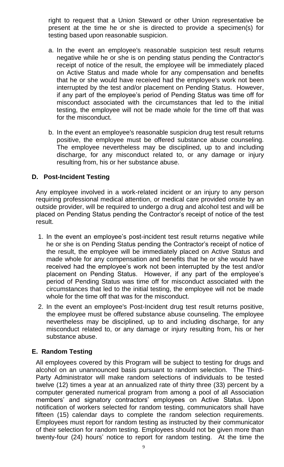right to request that a Union Steward or other Union representative be present at the time he or she is directed to provide a specimen(s) for testing based upon reasonable suspicion.

- a. In the event an employee's reasonable suspicion test result returns negative while he or she is on pending status pending the Contractor's receipt of notice of the result, the employee will be immediately placed on Active Status and made whole for any compensation and benefits that he or she would have received had the employee's work not been interrupted by the test and/or placement on Pending Status. However, if any part of the employee's period of Pending Status was time off for misconduct associated with the circumstances that led to the initial testing, the employee will not be made whole for the time off that was for the misconduct.
- b. In the event an employee's reasonable suspicion drug test result returns positive, the employee must be offered substance abuse counseling. The employee nevertheless may be disciplined, up to and including discharge, for any misconduct related to, or any damage or injury resulting from, his or her substance abuse.

#### **D. Post-Incident Testing**

Any employee involved in a work-related incident or an injury to any person requiring professional medical attention, or medical care provided onsite by an outside provider, will be required to undergo a drug and alcohol test and will be placed on Pending Status pending the Contractor's receipt of notice of the test result.

- 1. In the event an employee's post-incident test result returns negative while he or she is on Pending Status pending the Contractor's receipt of notice of the result, the employee will be immediately placed on Active Status and made whole for any compensation and benefits that he or she would have received had the employee's work not been interrupted by the test and/or placement on Pending Status. However, if any part of the employee's period of Pending Status was time off for misconduct associated with the circumstances that led to the initial testing, the employee will not be made whole for the time off that was for the misconduct.
- 2. In the event an employee's Post-Incident drug test result returns positive, the employee must be offered substance abuse counseling. The employee nevertheless may be disciplined, up to and including discharge, for any misconduct related to, or any damage or injury resulting from, his or her substance abuse.

#### **E. Random Testing**

All employees covered by this Program will be subject to testing for drugs and alcohol on an unannounced basis pursuant to random selection. The Third-Party Administrator will make random selections of individuals to be tested twelve (12) times a year at an annualized rate of thirty three (33) percent by a computer generated numerical program from among a pool of all Association members' and signatory contractors' employees on Active Status. Upon notification of workers selected for random testing, communicators shall have fifteen (15) calendar days to complete the random selection requirements. Employees must report for random testing as instructed by their communicator of their selection for random testing. Employees should not be given more than twenty-four (24) hours' notice to report for random testing. At the time the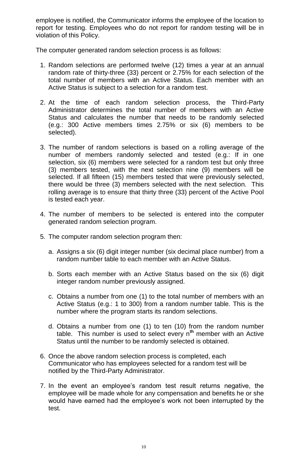employee is notified, the Communicator informs the employee of the location to report for testing. Employees who do not report for random testing will be in violation of this Policy.

The computer generated random selection process is as follows:

- 1. Random selections are performed twelve (12) times a year at an annual random rate of thirty-three (33) percent or 2.75% for each selection of the total number of members with an Active Status. Each member with an Active Status is subject to a selection for a random test.
- 2. At the time of each random selection process, the Third-Party Administrator determines the total number of members with an Active Status and calculates the number that needs to be randomly selected (e.g.: 300 Active members times 2.75% or six (6) members to be selected).
- 3. The number of random selections is based on a rolling average of the number of members randomly selected and tested (e.g.: If in one selection, six (6) members were selected for a random test but only three (3) members tested, with the next selection nine (9) members will be selected. If all fifteen (15) members tested that were previously selected, there would be three (3) members selected with the next selection. This rolling average is to ensure that thirty three (33) percent of the Active Pool is tested each year.
- 4. The number of members to be selected is entered into the computer generated random selection program.
- 5. The computer random selection program then:
	- a. Assigns a six (6) digit integer number (six decimal place number) from a random number table to each member with an Active Status.
	- b. Sorts each member with an Active Status based on the six (6) digit integer random number previously assigned.
	- c. Obtains a number from one (1) to the total number of members with an Active Status (e.g.: 1 to 300) from a random number table. This is the number where the program starts its random selections.
	- d. Obtains a number from one (1) to ten (10) from the random number table. This number is used to select every n**th** member with an Active Status until the number to be randomly selected is obtained.
- 6. Once the above random selection process is completed, each Communicator who has employees selected for a random test will be notified by the Third-Party Administrator.
- 7. In the event an employee's random test result returns negative, the employee will be made whole for any compensation and benefits he or she would have earned had the employee's work not been interrupted by the test.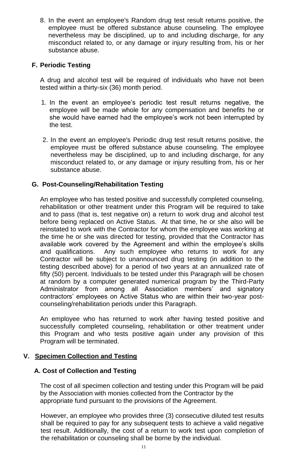8. In the event an employee's Random drug test result returns positive, the employee must be offered substance abuse counseling. The employee nevertheless may be disciplined, up to and including discharge, for any misconduct related to, or any damage or injury resulting from, his or her substance abuse.

### **F. Periodic Testing**

A drug and alcohol test will be required of individuals who have not been tested within a thirty-six (36) month period.

- 1. In the event an employee's periodic test result returns negative, the employee will be made whole for any compensation and benefits he or she would have earned had the employee's work not been interrupted by the test.
- 2. In the event an employee's Periodic drug test result returns positive, the employee must be offered substance abuse counseling. The employee nevertheless may be disciplined, up to and including discharge, for any misconduct related to, or any damage or injury resulting from, his or her substance abuse.

#### **G. Post-Counseling/Rehabilitation Testing**

An employee who has tested positive and successfully completed counseling, rehabilitation or other treatment under this Program will be required to take and to pass (that is, test negative on) a return to work drug and alcohol test before being replaced on Active Status. At that time, he or she also will be reinstated to work with the Contractor for whom the employee was working at the time he or she was directed for testing, provided that the Contractor has available work covered by the Agreement and within the employee's skills and qualifications. Any such employee who returns to work for any Contractor will be subject to unannounced drug testing (in addition to the testing described above) for a period of two years at an annualized rate of fifty (50) percent. Individuals to be tested under this Paragraph will be chosen at random by a computer generated numerical program by the Third-Party Administrator from among all Association members' and signatory contractors' employees on Active Status who are within their two-year postcounseling/rehabilitation periods under this Paragraph.

An employee who has returned to work after having tested positive and successfully completed counseling, rehabilitation or other treatment under this Program and who tests positive again under any provision of this Program will be terminated.

#### **V. Specimen Collection and Testing**

#### **A. Cost of Collection and Testing**

The cost of all specimen collection and testing under this Program will be paid by the Association with monies collected from the Contractor by the appropriate fund pursuant to the provisions of the Agreement.

However, an employee who provides three (3) consecutive diluted test results shall be required to pay for any subsequent tests to achieve a valid negative test result. Additionally, the cost of a return to work test upon completion of the rehabilitation or counseling shall be borne by the individual.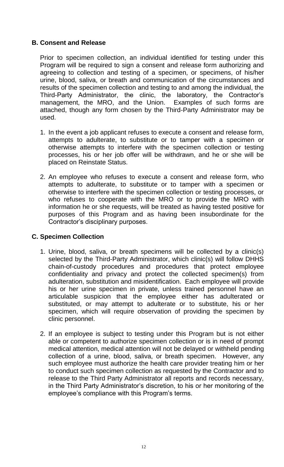#### **B. Consent and Release**

Prior to specimen collection, an individual identified for testing under this Program will be required to sign a consent and release form authorizing and agreeing to collection and testing of a specimen, or specimens, of his/her urine, blood, saliva, or breath and communication of the circumstances and results of the specimen collection and testing to and among the individual, the Third-Party Administrator, the clinic, the laboratory, the Contractor's management, the MRO, and the Union. Examples of such forms are attached, though any form chosen by the Third-Party Administrator may be used.

- 1. In the event a job applicant refuses to execute a consent and release form, attempts to adulterate, to substitute or to tamper with a specimen or otherwise attempts to interfere with the specimen collection or testing processes, his or her job offer will be withdrawn, and he or she will be placed on Reinstate Status.
- 2. An employee who refuses to execute a consent and release form, who attempts to adulterate, to substitute or to tamper with a specimen or otherwise to interfere with the specimen collection or testing processes, or who refuses to cooperate with the MRO or to provide the MRO with information he or she requests, will be treated as having tested positive for purposes of this Program and as having been insubordinate for the Contractor's disciplinary purposes.

## **C. Specimen Collection**

- 1. Urine, blood, saliva, or breath specimens will be collected by a clinic(s) selected by the Third-Party Administrator, which clinic(s) will follow DHHS chain-of-custody procedures and procedures that protect employee confidentiality and privacy and protect the collected specimen(s) from adulteration, substitution and misidentification. Each employee will provide his or her urine specimen in private, unless trained personnel have an articulable suspicion that the employee either has adulterated or substituted, or may attempt to adulterate or to substitute, his or her specimen, which will require observation of providing the specimen by clinic personnel.
- 2. If an employee is subject to testing under this Program but is not either able or competent to authorize specimen collection or is in need of prompt medical attention, medical attention will not be delayed or withheld pending collection of a urine, blood, saliva, or breath specimen. However, any such employee must authorize the health care provider treating him or her to conduct such specimen collection as requested by the Contractor and to release to the Third Party Administrator all reports and records necessary, in the Third Party Administrator's discretion, to his or her monitoring of the employee's compliance with this Program's terms.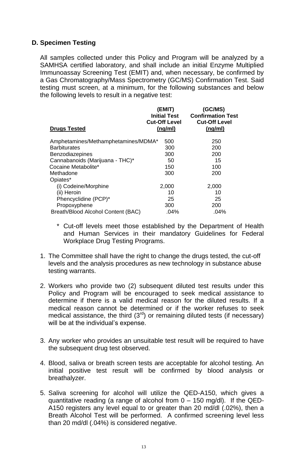#### **D. Specimen Testing**

All samples collected under this Policy and Program will be analyzed by a SAMHSA certified laboratory, and shall include an initial Enzyme Multiplied Immunoassay Screening Test (EMIT) and, when necessary, be confirmed by a Gas Chromatography/Mass Spectrometry (GC/MS) Confirmation Test. Said testing must screen, at a minimum, for the following substances and below the following levels to result in a negative test:

| <b>Drugs Tested</b>                 | (EMIT)<br><b>Initial Test</b><br><b>Cut-Off Level</b><br>(ng/ml) | (GC/MS)<br><b>Confirmation Test</b><br><b>Cut-Off Level</b><br>(ng/ml) |
|-------------------------------------|------------------------------------------------------------------|------------------------------------------------------------------------|
| Amphetamines/Methamphetamines/MDMA* | 500                                                              | 250                                                                    |
| <b>Barbiturates</b>                 | 300                                                              | 200                                                                    |
| Benzodiazepines                     | 300                                                              | 200                                                                    |
| Cannabanoids (Marijuana - THC)*     | 50                                                               | 15                                                                     |
| Cocaine Metabolite*                 | 150                                                              | 100                                                                    |
| Methadone                           | 300                                                              | 200                                                                    |
| Opiates*                            |                                                                  |                                                                        |
| (i) Codeine/Morphine                | 2,000                                                            | 2,000                                                                  |
| (ii) Heroin                         | 10                                                               | 10                                                                     |
| Phencyclidine (PCP)*                | 25                                                               | 25                                                                     |
| Propoxyphene                        | 300                                                              | 200                                                                    |
| Breath/Blood Alcohol Content (BAC)  | .04%                                                             | .04%                                                                   |
|                                     |                                                                  |                                                                        |

- \* Cut-off levels meet those established by the Department of Health and Human Services in their mandatory Guidelines for Federal Workplace Drug Testing Programs.
- 1. The Committee shall have the right to change the drugs tested, the cut-off levels and the analysis procedures as new technology in substance abuse testing warrants.
- 2. Workers who provide two (2) subsequent diluted test results under this Policy and Program will be encouraged to seek medical assistance to determine if there is a valid medical reason for the diluted results. If a medical reason cannot be determined or if the worker refuses to seek medical assistance, the third  $(3<sup>rd</sup>)$  or remaining diluted tests (if necessary) will be at the individual's expense.
- 3. Any worker who provides an unsuitable test result will be required to have the subsequent drug test observed.
- 4. Blood, saliva or breath screen tests are acceptable for alcohol testing. An initial positive test result will be confirmed by blood analysis or breathalyzer.
- 5. Saliva screening for alcohol will utilize the QED-A150, which gives a quantitative reading (a range of alcohol from  $0 - 150$  mg/dl). If the QED-A150 registers any level equal to or greater than 20 md/dl (.02%), then a Breath Alcohol Test will be performed. A confirmed screening level less than 20 md/dl (.04%) is considered negative.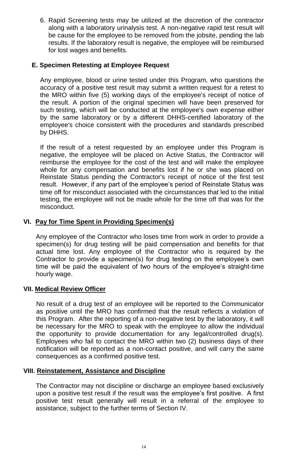6. Rapid Screening tests may be utilized at the discretion of the contractor along with a laboratory urinalysis test. A non-negative rapid test result will be cause for the employee to be removed from the jobsite, pending the lab results. If the laboratory result is negative, the employee will be reimbursed for lost wages and benefits.

### **E. Specimen Retesting at Employee Request**

Any employee, blood or urine tested under this Program, who questions the accuracy of a positive test result may submit a written request for a retest to the MRO within five (5) working days of the employee's receipt of notice of the result. A portion of the original specimen will have been preserved for such testing, which will be conducted at the employee's own expense either by the same laboratory or by a different DHHS-certified laboratory of the employee's choice consistent with the procedures and standards prescribed by DHHS.

If the result of a retest requested by an employee under this Program is negative, the employee will be placed on Active Status, the Contractor will reimburse the employee for the cost of the test and will make the employee whole for any compensation and benefits lost if he or she was placed on Reinstate Status pending the Contractor's receipt of notice of the first test result. However, if any part of the employee's period of Reinstate Status was time off for misconduct associated with the circumstances that led to the initial testing, the employee will not be made whole for the time off that was for the misconduct.

#### **VI. Pay for Time Spent in Providing Specimen(s)**

Any employee of the Contractor who loses time from work in order to provide a specimen(s) for drug testing will be paid compensation and benefits for that actual time lost. Any employee of the Contractor who is required by the Contractor to provide a specimen(s) for drug testing on the employee's own time will be paid the equivalent of two hours of the employee's straight-time hourly wage.

#### **VII. Medical Review Officer**

No result of a drug test of an employee will be reported to the Communicator as positive until the MRO has confirmed that the result reflects a violation of this Program. After the reporting of a non-negative test by the laboratory, it will be necessary for the MRO to speak with the employee to allow the individual the opportunity to provide documentation for any legal/controlled drug(s). Employees who fail to contact the MRO within two (2) business days of their notification will be reported as a non-contact positive, and will carry the same consequences as a confirmed positive test.

#### **VIII. Reinstatement, Assistance and Discipline**

The Contractor may not discipline or discharge an employee based exclusively upon a positive test result if the result was the employee's first positive. A first positive test result generally will result in a referral of the employee to assistance, subject to the further terms of Section IV.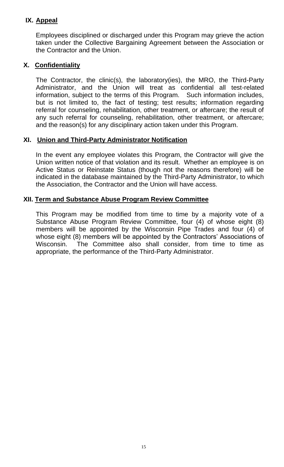## **IX. Appeal**

Employees disciplined or discharged under this Program may grieve the action taken under the Collective Bargaining Agreement between the Association or the Contractor and the Union.

#### **X. Confidentiality**

The Contractor, the clinic(s), the laboratory(ies), the MRO, the Third-Party Administrator, and the Union will treat as confidential all test-related information, subject to the terms of this Program. Such information includes, but is not limited to, the fact of testing; test results; information regarding referral for counseling, rehabilitation, other treatment, or aftercare; the result of any such referral for counseling, rehabilitation, other treatment, or aftercare; and the reason(s) for any disciplinary action taken under this Program.

#### **XI. Union and Third-Party Administrator Notification**

In the event any employee violates this Program, the Contractor will give the Union written notice of that violation and its result. Whether an employee is on Active Status or Reinstate Status (though not the reasons therefore) will be indicated in the database maintained by the Third-Party Administrator, to which the Association, the Contractor and the Union will have access.

#### **XII. Term and Substance Abuse Program Review Committee**

This Program may be modified from time to time by a majority vote of a Substance Abuse Program Review Committee, four (4) of whose eight (8) members will be appointed by the Wisconsin Pipe Trades and four (4) of whose eight (8) members will be appointed by the Contractors' Associations of Wisconsin. The Committee also shall consider, from time to time as appropriate, the performance of the Third-Party Administrator.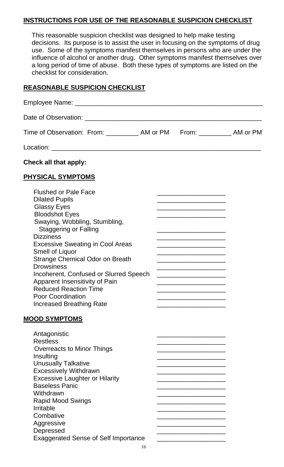#### **INSTRUCTIONS FOR USE OF THE REASONABLE SUSPICION CHECKLIST**

This reasonable suspicion checklist was designed to help make testing decisions. Its purpose is to assist the user in focusing on the symptoms of drug use. Some of the symptoms manifest themselves in persons who are under the influence of alcohol or another drug. Other symptoms manifest themselves over a long period of time of abuse. Both these types of symptoms are listed on the checklist for consideration.

#### **REASONABLE SUSPICION CHECKLIST**

| Time of Observation: From: ___________ AM or PM From: __________ AM or PM                                                                                                                                                                                                                                                                                                                                                                                                                               |                                                                                                                                                                                                                                                                                                                                                                                                                                                                                                            |  |
|---------------------------------------------------------------------------------------------------------------------------------------------------------------------------------------------------------------------------------------------------------------------------------------------------------------------------------------------------------------------------------------------------------------------------------------------------------------------------------------------------------|------------------------------------------------------------------------------------------------------------------------------------------------------------------------------------------------------------------------------------------------------------------------------------------------------------------------------------------------------------------------------------------------------------------------------------------------------------------------------------------------------------|--|
|                                                                                                                                                                                                                                                                                                                                                                                                                                                                                                         |                                                                                                                                                                                                                                                                                                                                                                                                                                                                                                            |  |
| Check all that apply:                                                                                                                                                                                                                                                                                                                                                                                                                                                                                   |                                                                                                                                                                                                                                                                                                                                                                                                                                                                                                            |  |
| <b>PHYSICAL SYMPTOMS</b>                                                                                                                                                                                                                                                                                                                                                                                                                                                                                |                                                                                                                                                                                                                                                                                                                                                                                                                                                                                                            |  |
| <b>Flushed or Pale Face</b><br><b>Dilated Pupils</b><br><b>Glassy Eyes</b><br><b>Bloodshot Eyes</b><br>Swaying, Wobbling, Stumbling,<br><b>Staggering or Falling</b><br><b>Dizziness</b><br><b>Excessive Sweating in Cool Areas</b><br><b>Smell of Liquor</b><br><b>Strange Chemical Odor on Breath</b><br><b>Drowsiness</b><br>Incoherent, Confused or Slurred Speech<br>Apparent Insensitivity of Pain<br><b>Reduced Reaction Time</b><br><b>Poor Coordination</b><br><b>Increased Breathing Rate</b> | <u> 1989 - Johann John Stone, mars et al. 1989 - John Stone, mars et al. 1989 - John Stone, mars et al. 1989 - Joh</u><br><u> 1989 - Johann John Stone, mars et al. 1989 - John Stone, mars et al. 1989 - John Stone, mars et al. 1989 - John Stone</u><br><u> 1989 - Johann John Stone, market fan it ferskearre fan it ferskearre fan it ferskearre fan it ferskearre fan </u><br><u> 1980 - Johann John Harry Harry Harry Harry Harry Harry Harry Harry Harry Harry Harry Harry Harry Harry Harry H</u> |  |
| <b>MOOD SYMPTOMS</b><br>Antagonistic<br><b>Restless</b><br><b>Overreacts to Minor Things</b><br>Insulting<br><b>Unusually Talkative</b><br><b>Excessively Withdrawn</b><br><b>Excessive Laughter or Hilarity</b><br><b>Baseless Panic</b><br>Withdrawn<br><b>Rapid Mood Swings</b><br><b>Irritable</b><br>Combative<br>Aggressive<br>Depressed<br><b>Exaggerated Sense of Self Importance</b>                                                                                                           |                                                                                                                                                                                                                                                                                                                                                                                                                                                                                                            |  |